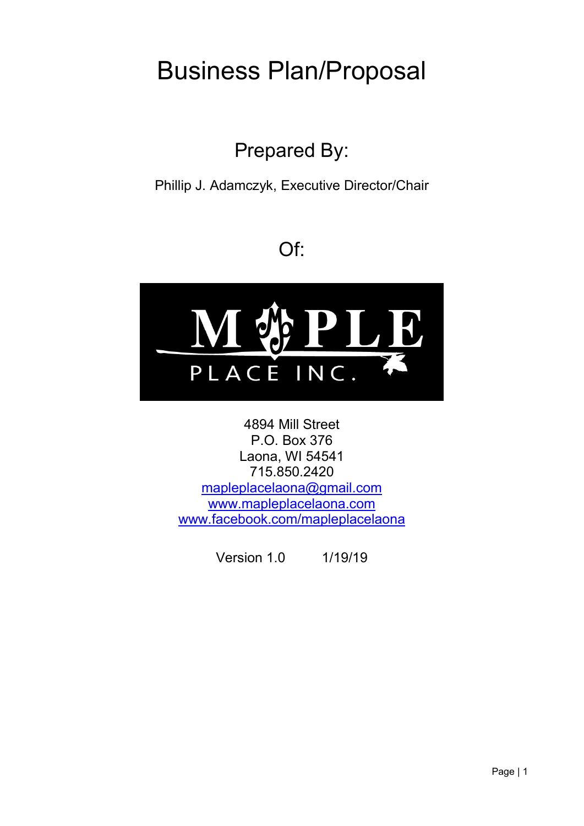# Business Plan/Proposal

## Prepared By:

Phillip J. Adamczyk, Executive Director/Chair

## Of:



4894 Mill Street P.O. Box 376 Laona, WI 54541 715.850.2420 [mapleplacelaona@gmail.com](mailto:mapleplacelaona@gmail.com) [www.mapleplacelaona.com](http://www.mapleplacelaona.com/) [www.facebook.com/mapleplacelaona](http://www.facebook.com/mapleplacelaona)

Version 1.0 1/19/19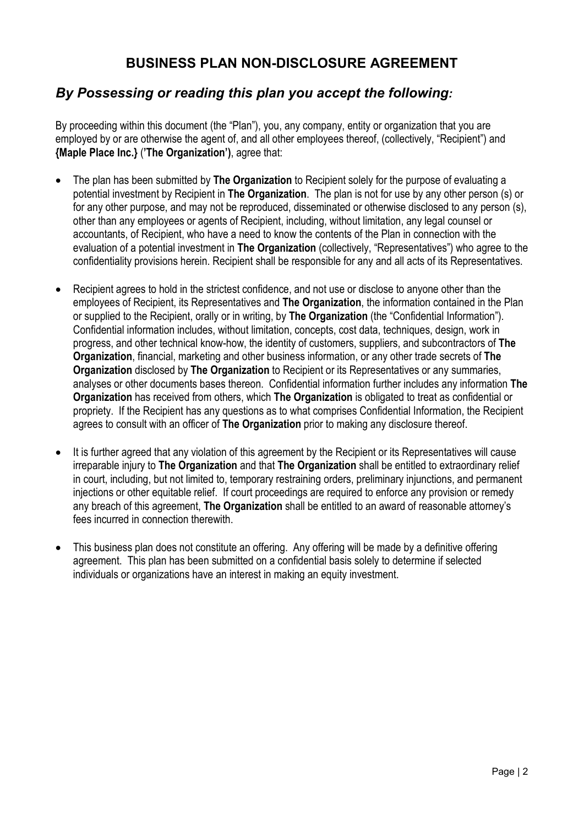## **BUSINESS PLAN NON-DISCLOSURE AGREEMENT**

## *By Possessing or reading this plan you accept the following:*

By proceeding within this document (the "Plan"), you, any company, entity or organization that you are employed by or are otherwise the agent of, and all other employees thereof, (collectively, "Recipient") and **{Maple Place Inc.}** (**'The Organization')**, agree that:

- The plan has been submitted by **The Organization** to Recipient solely for the purpose of evaluating a potential investment by Recipient in **The Organization**. The plan is not for use by any other person (s) or for any other purpose, and may not be reproduced, disseminated or otherwise disclosed to any person (s), other than any employees or agents of Recipient, including, without limitation, any legal counsel or accountants, of Recipient, who have a need to know the contents of the Plan in connection with the evaluation of a potential investment in **The Organization** (collectively, "Representatives") who agree to the confidentiality provisions herein. Recipient shall be responsible for any and all acts of its Representatives.
- Recipient agrees to hold in the strictest confidence, and not use or disclose to anyone other than the employees of Recipient, its Representatives and **The Organization**, the information contained in the Plan or supplied to the Recipient, orally or in writing, by **The Organization** (the "Confidential Information"). Confidential information includes, without limitation, concepts, cost data, techniques, design, work in progress, and other technical know-how, the identity of customers, suppliers, and subcontractors of **The Organization**, financial, marketing and other business information, or any other trade secrets of **The Organization** disclosed by **The Organization** to Recipient or its Representatives or any summaries, analyses or other documents bases thereon. Confidential information further includes any information **The Organization** has received from others, which **The Organization** is obligated to treat as confidential or propriety. If the Recipient has any questions as to what comprises Confidential Information, the Recipient agrees to consult with an officer of **The Organization** prior to making any disclosure thereof.
- It is further agreed that any violation of this agreement by the Recipient or its Representatives will cause irreparable injury to **The Organization** and that **The Organization** shall be entitled to extraordinary relief in court, including, but not limited to, temporary restraining orders, preliminary injunctions, and permanent injections or other equitable relief. If court proceedings are required to enforce any provision or remedy any breach of this agreement, **The Organization** shall be entitled to an award of reasonable attorney's fees incurred in connection therewith.
- This business plan does not constitute an offering. Any offering will be made by a definitive offering agreement. This plan has been submitted on a confidential basis solely to determine if selected individuals or organizations have an interest in making an equity investment.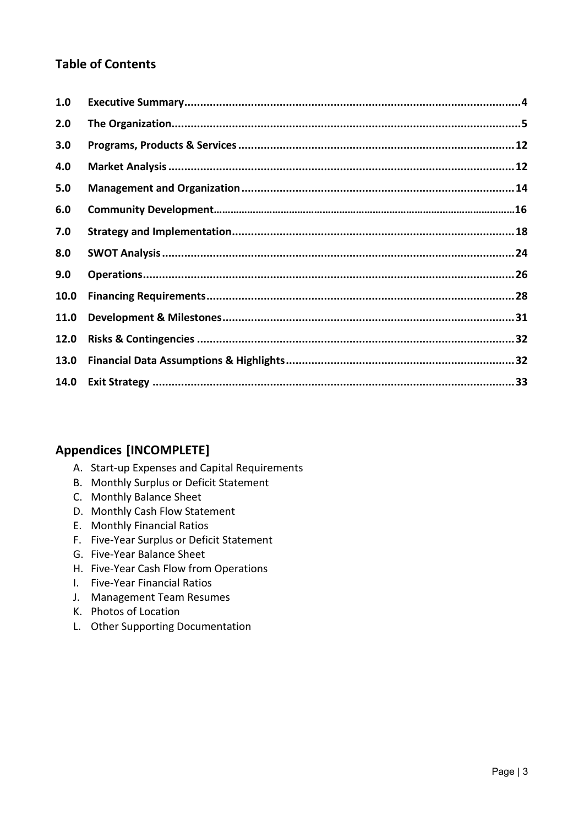## **Table of Contents**

| 1.0  |  |
|------|--|
| 2.0  |  |
| 3.0  |  |
| 4.0  |  |
| 5.0  |  |
| 6.0  |  |
| 7.0  |  |
| 8.0  |  |
| 9.0  |  |
| 10.0 |  |
| 11.0 |  |
| 12.0 |  |
| 13.0 |  |
|      |  |

## **Appendices [INCOMPLETE]**

- A. Start-up Expenses and Capital Requirements
- B. Monthly Surplus or Deficit Statement
- C. Monthly Balance Sheet
- D. Monthly Cash Flow Statement
- E. Monthly Financial Ratios
- F. Five-Year Surplus or Deficit Statement
- G. Five-Year Balance Sheet
- H. Five-Year Cash Flow from Operations
- I. Five-Year Financial Ratios
- J. Management Team Resumes
- K. Photos of Location
- L. Other Supporting Documentation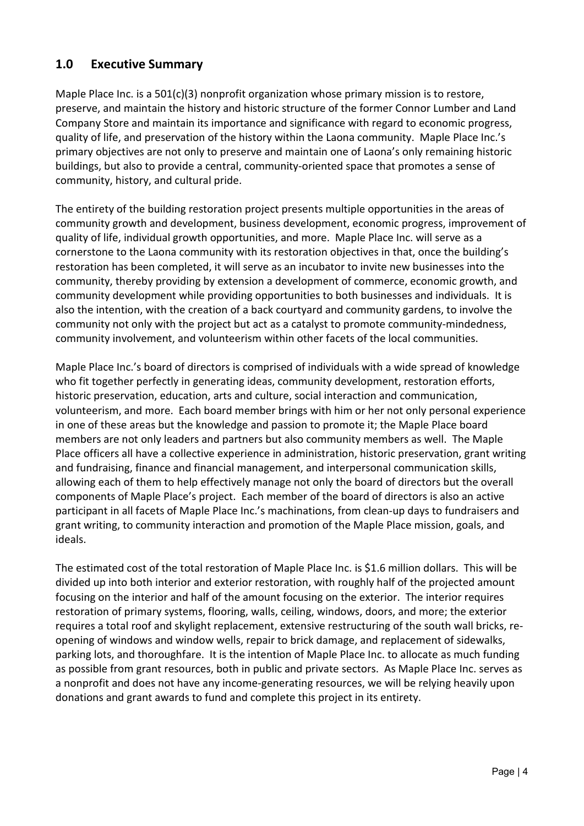## <span id="page-3-0"></span>**1.0 Executive Summary**

Maple Place Inc. is a 501(c)(3) nonprofit organization whose primary mission is to restore, preserve, and maintain the history and historic structure of the former Connor Lumber and Land Company Store and maintain its importance and significance with regard to economic progress, quality of life, and preservation of the history within the Laona community. Maple Place Inc.'s primary objectives are not only to preserve and maintain one of Laona's only remaining historic buildings, but also to provide a central, community-oriented space that promotes a sense of community, history, and cultural pride.

The entirety of the building restoration project presents multiple opportunities in the areas of community growth and development, business development, economic progress, improvement of quality of life, individual growth opportunities, and more. Maple Place Inc. will serve as a cornerstone to the Laona community with its restoration objectives in that, once the building's restoration has been completed, it will serve as an incubator to invite new businesses into the community, thereby providing by extension a development of commerce, economic growth, and community development while providing opportunities to both businesses and individuals. It is also the intention, with the creation of a back courtyard and community gardens, to involve the community not only with the project but act as a catalyst to promote community-mindedness, community involvement, and volunteerism within other facets of the local communities.

Maple Place Inc.'s board of directors is comprised of individuals with a wide spread of knowledge who fit together perfectly in generating ideas, community development, restoration efforts, historic preservation, education, arts and culture, social interaction and communication, volunteerism, and more. Each board member brings with him or her not only personal experience in one of these areas but the knowledge and passion to promote it; the Maple Place board members are not only leaders and partners but also community members as well. The Maple Place officers all have a collective experience in administration, historic preservation, grant writing and fundraising, finance and financial management, and interpersonal communication skills, allowing each of them to help effectively manage not only the board of directors but the overall components of Maple Place's project. Each member of the board of directors is also an active participant in all facets of Maple Place Inc.'s machinations, from clean-up days to fundraisers and grant writing, to community interaction and promotion of the Maple Place mission, goals, and ideals.

The estimated cost of the total restoration of Maple Place Inc. is \$1.6 million dollars. This will be divided up into both interior and exterior restoration, with roughly half of the projected amount focusing on the interior and half of the amount focusing on the exterior. The interior requires restoration of primary systems, flooring, walls, ceiling, windows, doors, and more; the exterior requires a total roof and skylight replacement, extensive restructuring of the south wall bricks, reopening of windows and window wells, repair to brick damage, and replacement of sidewalks, parking lots, and thoroughfare. It is the intention of Maple Place Inc. to allocate as much funding as possible from grant resources, both in public and private sectors. As Maple Place Inc. serves as a nonprofit and does not have any income-generating resources, we will be relying heavily upon donations and grant awards to fund and complete this project in its entirety.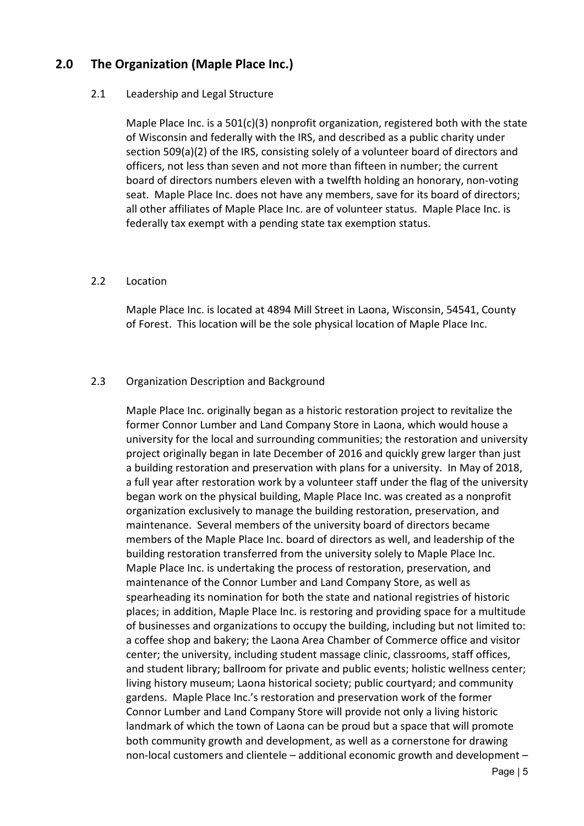### <span id="page-4-0"></span>**2.0 The Organization (Maple Place Inc.)**

#### 2.1 Leadership and Legal Structure

Maple Place Inc. is a 501(c)(3) nonprofit organization, registered both with the state of Wisconsin and federally with the IRS, and described as a public charity under section 509(a)(2) of the IRS, consisting solely of a volunteer board of directors and officers, not less than seven and not more than fifteen in number; the current board of directors numbers eleven with a twelfth holding an honorary, non-voting seat. Maple Place Inc. does not have any members, save for its board of directors; all other affiliates of Maple Place Inc. are of volunteer status. Maple Place Inc. is federally tax exempt with a pending state tax exemption status.

#### 2.2 Location

Maple Place Inc. is located at 4894 Mill Street in Laona, Wisconsin, 54541, County of Forest. This location will be the sole physical location of Maple Place Inc.

#### 2.3 Organization Description and Background

Maple Place Inc. originally began as a historic restoration project to revitalize the former Connor Lumber and Land Company Store in Laona, which would house a university for the local and surrounding communities; the restoration and university project originally began in late December of 2016 and quickly grew larger than just a building restoration and preservation with plans for a university. In May of 2018, a full year after restoration work by a volunteer staff under the flag of the university began work on the physical building, Maple Place Inc. was created as a nonprofit organization exclusively to manage the building restoration, preservation, and maintenance. Several members of the university board of directors became members of the Maple Place Inc. board of directors as well, and leadership of the building restoration transferred from the university solely to Maple Place Inc. Maple Place Inc. is undertaking the process of restoration, preservation, and maintenance of the Connor Lumber and Land Company Store, as well as spearheading its nomination for both the state and national registries of historic places; in addition, Maple Place Inc. is restoring and providing space for a multitude of businesses and organizations to occupy the building, including but not limited to: a coffee shop and bakery; the Laona Area Chamber of Commerce office and visitor center; the university, including student massage clinic, classrooms, staff offices, and student library; ballroom for private and public events; holistic wellness center; living history museum; Laona historical society; public courtyard; and community gardens. Maple Place Inc.'s restoration and preservation work of the former Connor Lumber and Land Company Store will provide not only a living historic landmark of which the town of Laona can be proud but a space that will promote both community growth and development, as well as a cornerstone for drawing non-local customers and clientele – additional economic growth and development –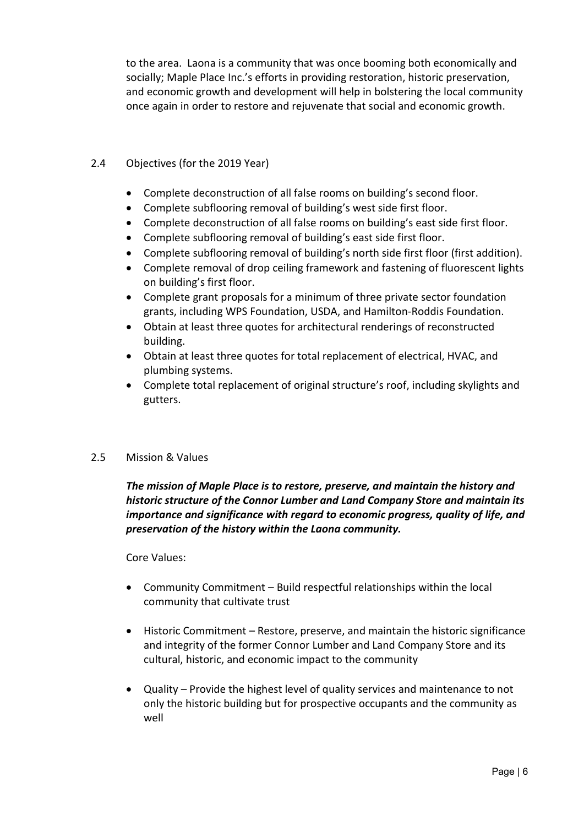to the area. Laona is a community that was once booming both economically and socially; Maple Place Inc.'s efforts in providing restoration, historic preservation, and economic growth and development will help in bolstering the local community once again in order to restore and rejuvenate that social and economic growth.

#### 2.4 Objectives (for the 2019 Year)

- Complete deconstruction of all false rooms on building's second floor.
- Complete subflooring removal of building's west side first floor.
- Complete deconstruction of all false rooms on building's east side first floor.
- Complete subflooring removal of building's east side first floor.
- Complete subflooring removal of building's north side first floor (first addition).
- Complete removal of drop ceiling framework and fastening of fluorescent lights on building's first floor.
- Complete grant proposals for a minimum of three private sector foundation grants, including WPS Foundation, USDA, and Hamilton-Roddis Foundation.
- Obtain at least three quotes for architectural renderings of reconstructed building.
- Obtain at least three quotes for total replacement of electrical, HVAC, and plumbing systems.
- Complete total replacement of original structure's roof, including skylights and gutters.

#### 2.5 Mission & Values

*The mission of Maple Place is to restore, preserve, and maintain the history and historic structure of the Connor Lumber and Land Company Store and maintain its importance and significance with regard to economic progress, quality of life, and preservation of the history within the Laona community.*

Core Values:

- Community Commitment Build respectful relationships within the local community that cultivate trust
- Historic Commitment Restore, preserve, and maintain the historic significance and integrity of the former Connor Lumber and Land Company Store and its cultural, historic, and economic impact to the community
- Quality Provide the highest level of quality services and maintenance to not only the historic building but for prospective occupants and the community as well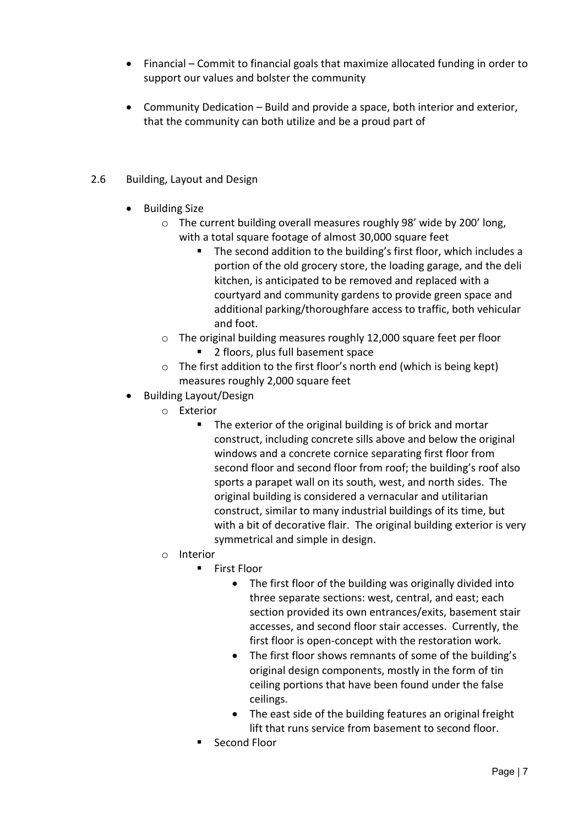- Financial Commit to financial goals that maximize allocated funding in order to support our values and bolster the community
- Community Dedication Build and provide a space, both interior and exterior, that the community can both utilize and be a proud part of
- 2.6 Building, Layout and Design
	- Building Size
		- o The current building overall measures roughly 98' wide by 200' long, with a total square footage of almost 30,000 square feet
			- The second addition to the building's first floor, which includes a portion of the old grocery store, the loading garage, and the deli kitchen, is anticipated to be removed and replaced with a courtyard and community gardens to provide green space and additional parking/thoroughfare access to traffic, both vehicular and foot.
		- o The original building measures roughly 12,000 square feet per floor
			- 2 floors, plus full basement space
		- o The first addition to the first floor's north end (which is being kept) measures roughly 2,000 square feet
	- Building Layout/Design
		- o Exterior<br>ד
			- The exterior of the original building is of brick and mortar construct, including concrete sills above and below the original windows and a concrete cornice separating first floor from second floor and second floor from roof; the building's roof also sports a parapet wall on its south, west, and north sides. The original building is considered a vernacular and utilitarian construct, similar to many industrial buildings of its time, but with a bit of decorative flair. The original building exterior is very symmetrical and simple in design.
		- o Interior
			- **First Floor** 
				- The first floor of the building was originally divided into three separate sections: west, central, and east; each section provided its own entrances/exits, basement stair accesses, and second floor stair accesses. Currently, the first floor is open-concept with the restoration work.
				- The first floor shows remnants of some of the building's original design components, mostly in the form of tin ceiling portions that have been found under the false ceilings.
				- The east side of the building features an original freight lift that runs service from basement to second floor.
			- Second Floor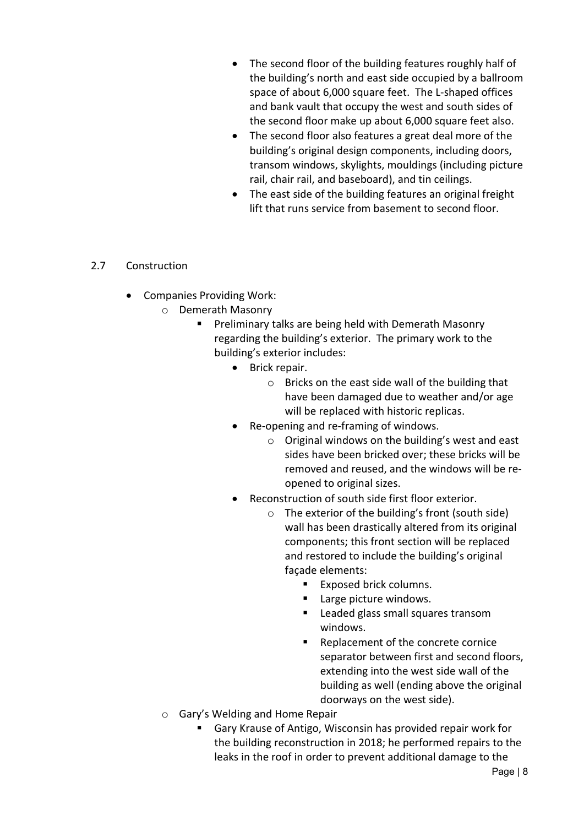- The second floor of the building features roughly half of the building's north and east side occupied by a ballroom space of about 6,000 square feet. The L-shaped offices and bank vault that occupy the west and south sides of the second floor make up about 6,000 square feet also.
- The second floor also features a great deal more of the building's original design components, including doors, transom windows, skylights, mouldings (including picture rail, chair rail, and baseboard), and tin ceilings.
- The east side of the building features an original freight lift that runs service from basement to second floor.

#### 2.7 Construction

- Companies Providing Work:
	- o Demerath Masonry
		- **Preliminary talks are being held with Demerath Masonry** regarding the building's exterior. The primary work to the building's exterior includes:
			- Brick repair.
				- o Bricks on the east side wall of the building that have been damaged due to weather and/or age will be replaced with historic replicas.
			- Re-opening and re-framing of windows.
				- o Original windows on the building's west and east sides have been bricked over; these bricks will be removed and reused, and the windows will be reopened to original sizes.
			- Reconstruction of south side first floor exterior.
				- o The exterior of the building's front (south side) wall has been drastically altered from its original components; this front section will be replaced and restored to include the building's original façade elements:
					- **Exposed brick columns.**
					- Large picture windows.
					- **Leaded glass small squares transom** windows.
					- Replacement of the concrete cornice separator between first and second floors, extending into the west side wall of the building as well (ending above the original doorways on the west side).
	- o Gary's Welding and Home Repair
		- Gary Krause of Antigo, Wisconsin has provided repair work for the building reconstruction in 2018; he performed repairs to the leaks in the roof in order to prevent additional damage to the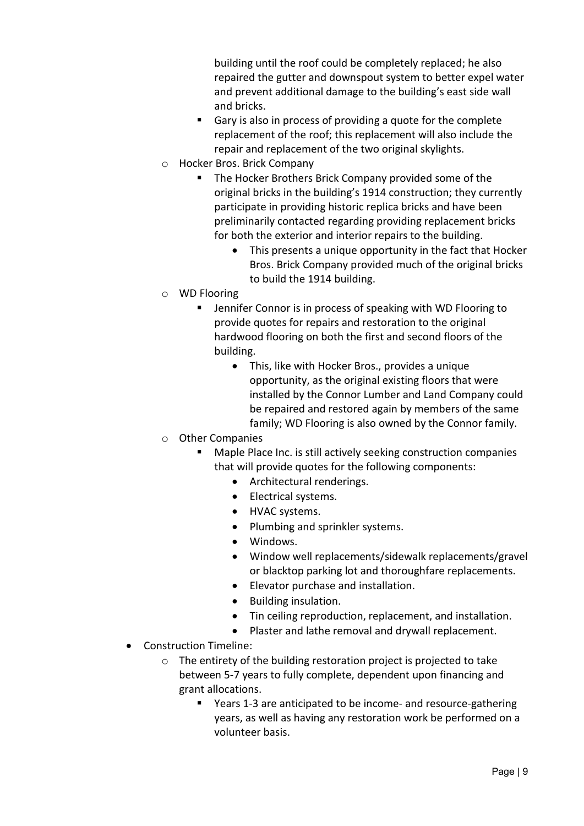building until the roof could be completely replaced; he also repaired the gutter and downspout system to better expel water and prevent additional damage to the building's east side wall and bricks.

- Gary is also in process of providing a quote for the complete replacement of the roof; this replacement will also include the repair and replacement of the two original skylights.
- o Hocker Bros. Brick Company
	- The Hocker Brothers Brick Company provided some of the original bricks in the building's 1914 construction; they currently participate in providing historic replica bricks and have been preliminarily contacted regarding providing replacement bricks for both the exterior and interior repairs to the building.
		- This presents a unique opportunity in the fact that Hocker Bros. Brick Company provided much of the original bricks to build the 1914 building.
- o WD Flooring
	- Jennifer Connor is in process of speaking with WD Flooring to provide quotes for repairs and restoration to the original hardwood flooring on both the first and second floors of the building.
		- This, like with Hocker Bros., provides a unique opportunity, as the original existing floors that were installed by the Connor Lumber and Land Company could be repaired and restored again by members of the same family; WD Flooring is also owned by the Connor family.
- o Other Companies
	- Maple Place Inc. is still actively seeking construction companies that will provide quotes for the following components:
		- Architectural renderings.
		- Electrical systems.
		- HVAC systems.
		- Plumbing and sprinkler systems.
		- Windows.
		- Window well replacements/sidewalk replacements/gravel or blacktop parking lot and thoroughfare replacements.
		- Elevator purchase and installation.
		- Building insulation.
		- Tin ceiling reproduction, replacement, and installation.
		- Plaster and lathe removal and drywall replacement.
- Construction Timeline:
	- o The entirety of the building restoration project is projected to take between 5-7 years to fully complete, dependent upon financing and grant allocations.
		- Years 1-3 are anticipated to be income- and resource-gathering years, as well as having any restoration work be performed on a volunteer basis.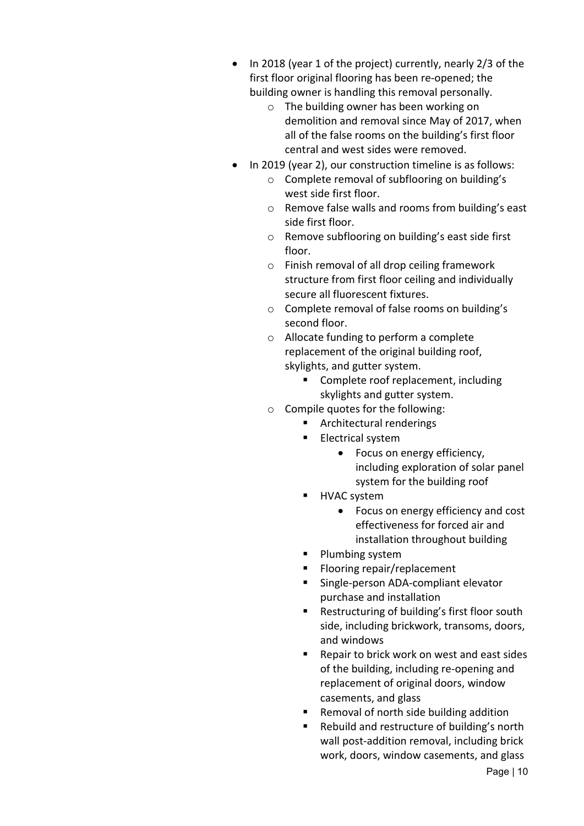- In 2018 (year 1 of the project) currently, nearly 2/3 of the first floor original flooring has been re-opened; the building owner is handling this removal personally.
	- o The building owner has been working on demolition and removal since May of 2017, when all of the false rooms on the building's first floor central and west sides were removed.
- In 2019 (year 2), our construction timeline is as follows:
	- o Complete removal of subflooring on building's west side first floor.
	- o Remove false walls and rooms from building's east side first floor.
	- o Remove subflooring on building's east side first floor.
	- o Finish removal of all drop ceiling framework structure from first floor ceiling and individually secure all fluorescent fixtures.
	- o Complete removal of false rooms on building's second floor.
	- o Allocate funding to perform a complete replacement of the original building roof, skylights, and gutter system.
		- Complete roof replacement, including skylights and gutter system.
	- o Compile quotes for the following:
		- Architectural renderings
		- **Electrical system** 
			- Focus on energy efficiency, including exploration of solar panel system for the building roof
		- **HVAC** system
			- Focus on energy efficiency and cost effectiveness for forced air and installation throughout building
		- **Plumbing system**
		- **Flooring repair/replacement**
		- Single-person ADA-compliant elevator purchase and installation
		- **Restructuring of building's first floor south** side, including brickwork, transoms, doors, and windows
		- Repair to brick work on west and east sides of the building, including re-opening and replacement of original doors, window casements, and glass
		- Removal of north side building addition
		- Rebuild and restructure of building's north wall post-addition removal, including brick work, doors, window casements, and glass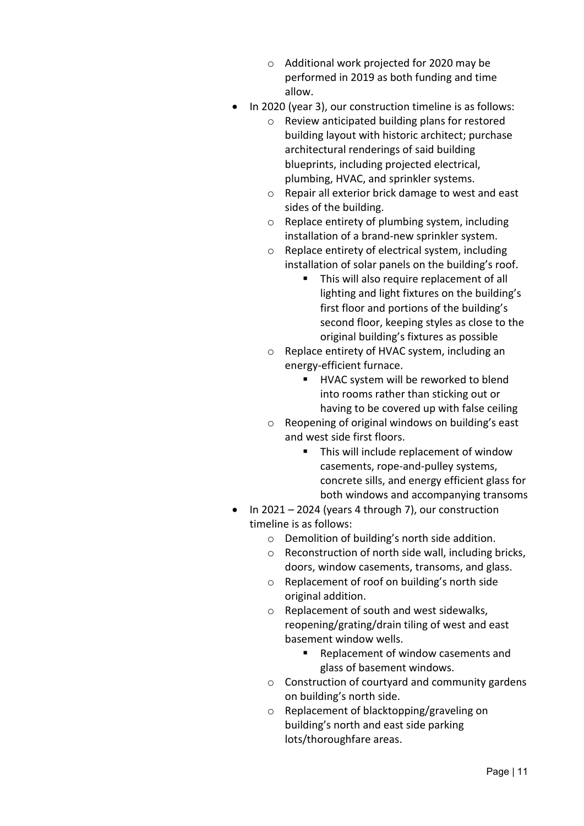- o Additional work projected for 2020 may be performed in 2019 as both funding and time allow.
- In 2020 (year 3), our construction timeline is as follows:
	- o Review anticipated building plans for restored building layout with historic architect; purchase architectural renderings of said building blueprints, including projected electrical, plumbing, HVAC, and sprinkler systems.
	- o Repair all exterior brick damage to west and east sides of the building.
	- o Replace entirety of plumbing system, including installation of a brand-new sprinkler system.
	- o Replace entirety of electrical system, including installation of solar panels on the building's roof.
		- This will also require replacement of all lighting and light fixtures on the building's first floor and portions of the building's second floor, keeping styles as close to the original building's fixtures as possible
	- o Replace entirety of HVAC system, including an energy-efficient furnace.
		- HVAC system will be reworked to blend into rooms rather than sticking out or having to be covered up with false ceiling
	- o Reopening of original windows on building's east and west side first floors.
		- **This will include replacement of window** casements, rope-and-pulley systems, concrete sills, and energy efficient glass for both windows and accompanying transoms
- In 2021 2024 (years 4 through 7), our construction timeline is as follows:
	- o Demolition of building's north side addition.
	- o Reconstruction of north side wall, including bricks, doors, window casements, transoms, and glass.
	- o Replacement of roof on building's north side original addition.
	- o Replacement of south and west sidewalks, reopening/grating/drain tiling of west and east basement window wells.
		- Replacement of window casements and glass of basement windows.
	- o Construction of courtyard and community gardens on building's north side.
	- o Replacement of blacktopping/graveling on building's north and east side parking lots/thoroughfare areas.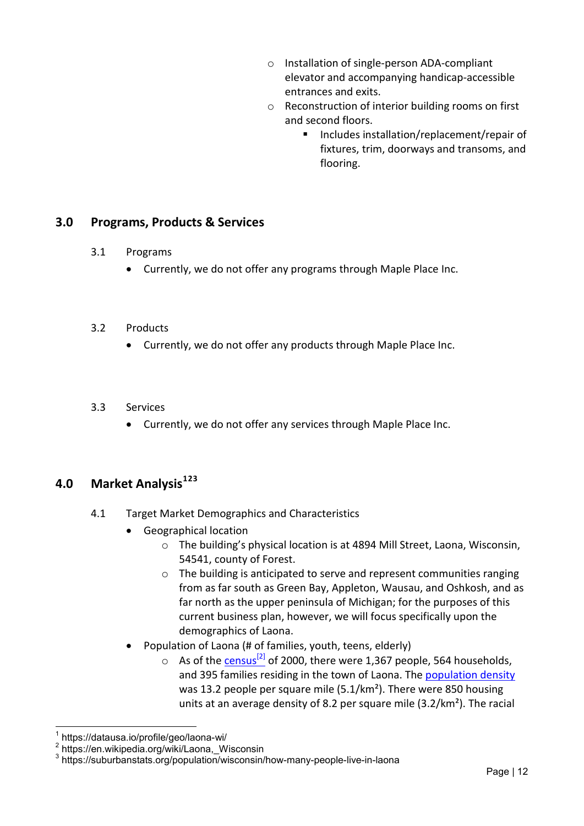- o Installation of single-person ADA-compliant elevator and accompanying handicap-accessible entrances and exits.
- o Reconstruction of interior building rooms on first and second floors.
	- Includes installation/replacement/repair of fixtures, trim, doorways and transoms, and flooring.

#### <span id="page-11-0"></span>**3.0 Programs, Products & Services**

- 3.1 Programs
	- Currently, we do not offer any programs through Maple Place Inc.
- 3.2 Products
	- Currently, we do not offer any products through Maple Place Inc.
- 3.3 Services
	- Currently, we do not offer any services through Maple Place Inc.

#### <span id="page-11-1"></span>**4.0 Market Analysis[1](#page-11-2)[2](#page-11-3)[3](#page-11-4)**

- 4.1 Target Market Demographics and Characteristics
	- Geographical location
		- o The building's physical location is at 4894 Mill Street, Laona, Wisconsin, 54541, county of Forest.
		- o The building is anticipated to serve and represent communities ranging from as far south as Green Bay, Appleton, Wausau, and Oshkosh, and as far north as the upper peninsula of Michigan; for the purposes of this current business plan, however, we will focus specifically upon the demographics of Laona.
	- Population of Laona (# of families, youth, teens, elderly)
		- $\circ$  As of the census<sup>[2]</sup> of 2000, there were 1,367 people, 564 households, and 395 families residing in the town of Laona. The [population density](https://en.wikipedia.org/wiki/Population_density) was 13.2 people per square mile (5.1/km²). There were 850 housing units at an average density of 8.2 per square mile (3.2/km²). The racial

 <sup>1</sup> https://datausa.io/profile/geo/laona-wi/

<span id="page-11-3"></span><span id="page-11-2"></span><sup>2</sup> https://en.wikipedia.org/wiki/Laona,\_Wisconsin

<span id="page-11-4"></span><sup>3</sup> https://suburbanstats.org/population/wisconsin/how-many-people-live-in-laona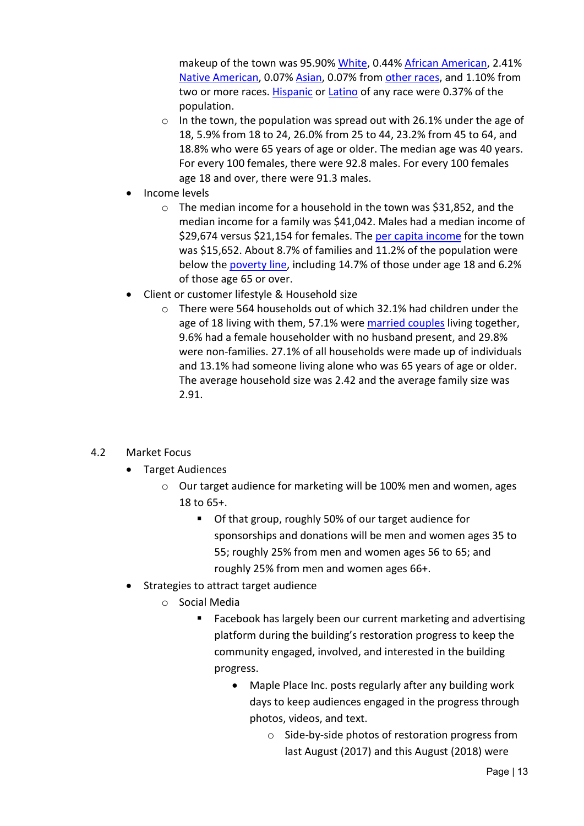makeup of the town was 95.90% [White,](https://en.wikipedia.org/wiki/White_(U.S._Census)) 0.44% [African American,](https://en.wikipedia.org/wiki/African_American_(U.S._Census)) 2.41% [Native American,](https://en.wikipedia.org/wiki/Native_American_(U.S._Census)) 0.07% [Asian,](https://en.wikipedia.org/wiki/Asian_(U.S._Census)) 0.07% from [other races,](https://en.wikipedia.org/wiki/Race_(United_States_Census)) and 1.10% from two or more races. [Hispanic](https://en.wikipedia.org/wiki/Hispanic_(U.S._Census)) or [Latino](https://en.wikipedia.org/wiki/Latino_(U.S._Census)) of any race were 0.37% of the population.

- o In the town, the population was spread out with 26.1% under the age of 18, 5.9% from 18 to 24, 26.0% from 25 to 44, 23.2% from 45 to 64, and 18.8% who were 65 years of age or older. The median age was 40 years. For every 100 females, there were 92.8 males. For every 100 females age 18 and over, there were 91.3 males.
- Income levels
	- o The median income for a household in the town was \$31,852, and the median income for a family was \$41,042. Males had a median income of \$29,674 versus \$21,154 for females. The [per capita income](https://en.wikipedia.org/wiki/Per_capita_income) for the town was \$15,652. About 8.7% of families and 11.2% of the population were below the [poverty line,](https://en.wikipedia.org/wiki/Poverty_line) including 14.7% of those under age 18 and 6.2% of those age 65 or over.
- Client or customer lifestyle & Household size
	- $\circ$  There were 564 households out of which 32.1% had children under the age of 18 living with them, 57.1% were [married couples](https://en.wikipedia.org/wiki/Marriage) living together, 9.6% had a female householder with no husband present, and 29.8% were non-families. 27.1% of all households were made up of individuals and 13.1% had someone living alone who was 65 years of age or older. The average household size was 2.42 and the average family size was 2.91.

#### 4.2 Market Focus

- Target Audiences
	- o Our target audience for marketing will be 100% men and women, ages 18 to 65+.
		- Of that group, roughly 50% of our target audience for sponsorships and donations will be men and women ages 35 to 55; roughly 25% from men and women ages 56 to 65; and roughly 25% from men and women ages 66+.
- Strategies to attract target audience
	- o Social Media
		- Facebook has largely been our current marketing and advertising platform during the building's restoration progress to keep the community engaged, involved, and interested in the building progress.
			- Maple Place Inc. posts regularly after any building work days to keep audiences engaged in the progress through photos, videos, and text.
				- o Side-by-side photos of restoration progress from last August (2017) and this August (2018) were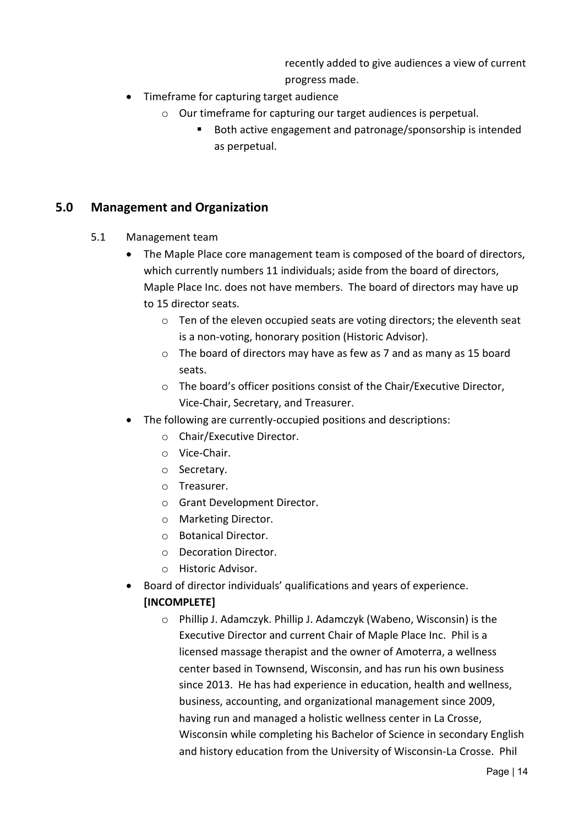recently added to give audiences a view of current progress made.

- Timeframe for capturing target audience
	- o Our timeframe for capturing our target audiences is perpetual.
		- Both active engagement and patronage/sponsorship is intended as perpetual.

#### <span id="page-13-0"></span>**5.0 Management and Organization**

- 5.1 Management team
	- The Maple Place core management team is composed of the board of directors, which currently numbers 11 individuals; aside from the board of directors, Maple Place Inc. does not have members. The board of directors may have up to 15 director seats.
		- o Ten of the eleven occupied seats are voting directors; the eleventh seat is a non-voting, honorary position (Historic Advisor).
		- o The board of directors may have as few as 7 and as many as 15 board seats.
		- o The board's officer positions consist of the Chair/Executive Director, Vice-Chair, Secretary, and Treasurer.
	- The following are currently-occupied positions and descriptions:
		- o Chair/Executive Director.
		- o Vice-Chair.
		- o Secretary.
		- o Treasurer.
		- o Grant Development Director.
		- o Marketing Director.
		- o Botanical Director.
		- o Decoration Director.
		- o Historic Advisor.
	- Board of director individuals' qualifications and years of experience. **[INCOMPLETE]**
		- o Phillip J. Adamczyk. Phillip J. Adamczyk (Wabeno, Wisconsin) is the Executive Director and current Chair of Maple Place Inc. Phil is a licensed massage therapist and the owner of Amoterra, a wellness center based in Townsend, Wisconsin, and has run his own business since 2013. He has had experience in education, health and wellness, business, accounting, and organizational management since 2009, having run and managed a holistic wellness center in La Crosse, Wisconsin while completing his Bachelor of Science in secondary English and history education from the University of Wisconsin-La Crosse. Phil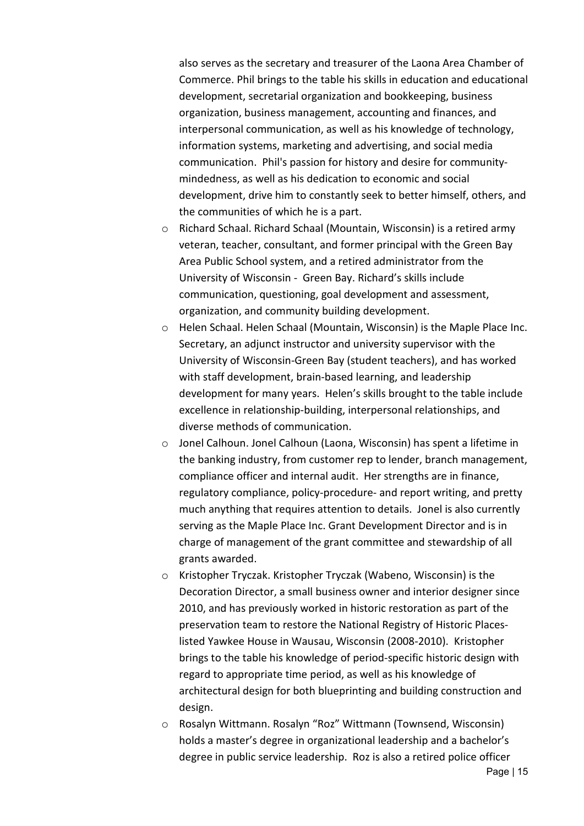also serves as the secretary and treasurer of the Laona Area Chamber of Commerce. Phil brings to the table his skills in education and educational development, secretarial organization and bookkeeping, business organization, business management, accounting and finances, and interpersonal communication, as well as his knowledge of technology, information systems, marketing and advertising, and social media communication. Phil's passion for history and desire for communitymindedness, as well as his dedication to economic and social development, drive him to constantly seek to better himself, others, and the communities of which he is a part.

- o Richard Schaal. Richard Schaal (Mountain, Wisconsin) is a retired army veteran, teacher, consultant, and former principal with the Green Bay Area Public School system, and a retired administrator from the University of Wisconsin - Green Bay. Richard's skills include communication, questioning, goal development and assessment, organization, and community building development.
- o Helen Schaal. Helen Schaal (Mountain, Wisconsin) is the Maple Place Inc. Secretary, an adjunct instructor and university supervisor with the University of Wisconsin-Green Bay (student teachers), and has worked with staff development, brain-based learning, and leadership development for many years. Helen's skills brought to the table include excellence in relationship-building, interpersonal relationships, and diverse methods of communication.
- o Jonel Calhoun. Jonel Calhoun (Laona, Wisconsin) has spent a lifetime in the banking industry, from customer rep to lender, branch management, compliance officer and internal audit. Her strengths are in finance, regulatory compliance, policy-procedure- and report writing, and pretty much anything that requires attention to details. Jonel is also currently serving as the Maple Place Inc. Grant Development Director and is in charge of management of the grant committee and stewardship of all grants awarded.
- o Kristopher Tryczak. Kristopher Tryczak (Wabeno, Wisconsin) is the Decoration Director, a small business owner and interior designer since 2010, and has previously worked in historic restoration as part of the preservation team to restore the National Registry of Historic Placeslisted Yawkee House in Wausau, Wisconsin (2008-2010). Kristopher brings to the table his knowledge of period-specific historic design with regard to appropriate time period, as well as his knowledge of architectural design for both blueprinting and building construction and design.
- o Rosalyn Wittmann. Rosalyn "Roz" Wittmann (Townsend, Wisconsin) holds a master's degree in organizational leadership and a bachelor's degree in public service leadership. Roz is also a retired police officer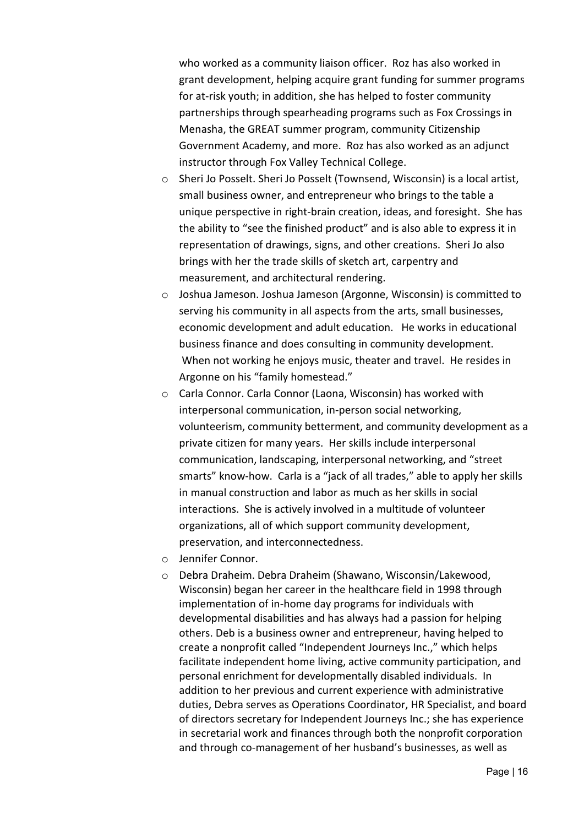who worked as a community liaison officer. Roz has also worked in grant development, helping acquire grant funding for summer programs for at-risk youth; in addition, she has helped to foster community partnerships through spearheading programs such as Fox Crossings in Menasha, the GREAT summer program, community Citizenship Government Academy, and more. Roz has also worked as an adjunct instructor through Fox Valley Technical College.

- o Sheri Jo Posselt. Sheri Jo Posselt (Townsend, Wisconsin) is a local artist, small business owner, and entrepreneur who brings to the table a unique perspective in right-brain creation, ideas, and foresight. She has the ability to "see the finished product" and is also able to express it in representation of drawings, signs, and other creations. Sheri Jo also brings with her the trade skills of sketch art, carpentry and measurement, and architectural rendering.
- o Joshua Jameson. Joshua Jameson (Argonne, Wisconsin) is committed to serving his community in all aspects from the arts, small businesses, economic development and adult education. He works in educational business finance and does consulting in community development. When not working he enjoys music, theater and travel. He resides in Argonne on his "family homestead."
- o Carla Connor. Carla Connor (Laona, Wisconsin) has worked with interpersonal communication, in-person social networking, volunteerism, community betterment, and community development as a private citizen for many years. Her skills include interpersonal communication, landscaping, interpersonal networking, and "street smarts" know-how. Carla is a "jack of all trades," able to apply her skills in manual construction and labor as much as her skills in social interactions. She is actively involved in a multitude of volunteer organizations, all of which support community development, preservation, and interconnectedness.
- o Jennifer Connor.
- o Debra Draheim. Debra Draheim (Shawano, Wisconsin/Lakewood, Wisconsin) began her career in the healthcare field in 1998 through implementation of in-home day programs for individuals with developmental disabilities and has always had a passion for helping others. Deb is a business owner and entrepreneur, having helped to create a nonprofit called "Independent Journeys Inc.," which helps facilitate independent home living, active community participation, and personal enrichment for developmentally disabled individuals. In addition to her previous and current experience with administrative duties, Debra serves as Operations Coordinator, HR Specialist, and board of directors secretary for Independent Journeys Inc.; she has experience in secretarial work and finances through both the nonprofit corporation and through co-management of her husband's businesses, as well as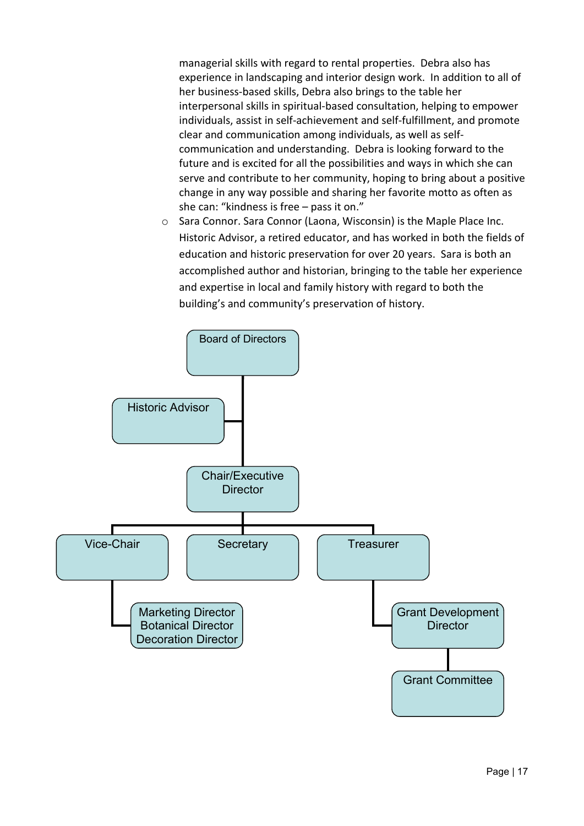managerial skills with regard to rental properties. Debra also has experience in landscaping and interior design work. In addition to all of her business-based skills, Debra also brings to the table her interpersonal skills in spiritual-based consultation, helping to empower individuals, assist in self-achievement and self-fulfillment, and promote clear and communication among individuals, as well as selfcommunication and understanding. Debra is looking forward to the future and is excited for all the possibilities and ways in which she can serve and contribute to her community, hoping to bring about a positive change in any way possible and sharing her favorite motto as often as she can: "kindness is free – pass it on."

o Sara Connor. Sara Connor (Laona, Wisconsin) is the Maple Place Inc. Historic Advisor, a retired educator, and has worked in both the fields of education and historic preservation for over 20 years. Sara is both an accomplished author and historian, bringing to the table her experience and expertise in local and family history with regard to both the building's and community's preservation of history.

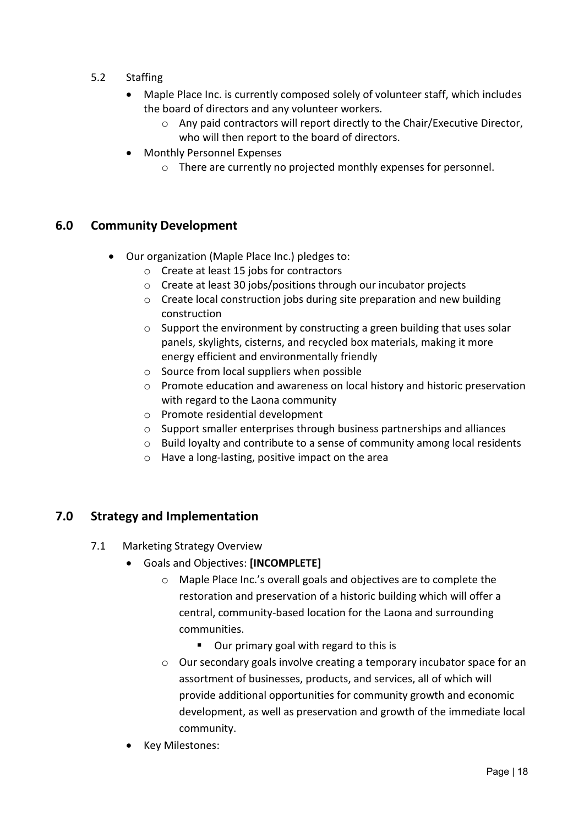- 5.2 Staffing
	- Maple Place Inc. is currently composed solely of volunteer staff, which includes the board of directors and any volunteer workers.
		- o Any paid contractors will report directly to the Chair/Executive Director, who will then report to the board of directors.
	- Monthly Personnel Expenses
		- o There are currently no projected monthly expenses for personnel.

#### **6.0 Community Development**

- Our organization (Maple Place Inc.) pledges to:
	- o Create at least 15 jobs for contractors
	- o Create at least 30 jobs/positions through our incubator projects
	- o Create local construction jobs during site preparation and new building construction
	- o Support the environment by constructing a green building that uses solar panels, skylights, cisterns, and recycled box materials, making it more energy efficient and environmentally friendly
	- $\circ$  Source from local suppliers when possible
	- $\circ$  Promote education and awareness on local history and historic preservation with regard to the Laona community
	- o Promote residential development
	- o Support smaller enterprises through business partnerships and alliances
	- o Build loyalty and contribute to a sense of community among local residents
	- o Have a long-lasting, positive impact on the area

#### **7.0 Strategy and Implementation**

- <span id="page-17-0"></span>7.1 Marketing Strategy Overview
	- Goals and Objectives: **[INCOMPLETE]**
		- o Maple Place Inc.'s overall goals and objectives are to complete the restoration and preservation of a historic building which will offer a central, community-based location for the Laona and surrounding communities.
			- Our primary goal with regard to this is
		- $\circ$  Our secondary goals involve creating a temporary incubator space for an assortment of businesses, products, and services, all of which will provide additional opportunities for community growth and economic development, as well as preservation and growth of the immediate local community.
	- Key Milestones: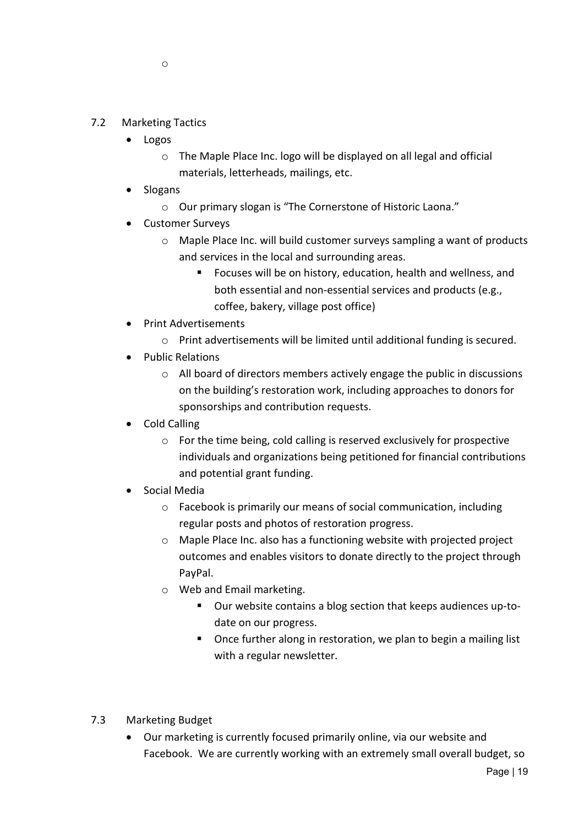- 7.2 Marketing Tactics
	- Logos
		- o The Maple Place Inc. logo will be displayed on all legal and official materials, letterheads, mailings, etc.
	- Slogans
		- o Our primary slogan is "The Cornerstone of Historic Laona."
	- Customer Surveys
		- o Maple Place Inc. will build customer surveys sampling a want of products and services in the local and surrounding areas.
			- Focuses will be on history, education, health and wellness, and both essential and non-essential services and products (e.g., coffee, bakery, village post office)
	- Print Advertisements
		- o Print advertisements will be limited until additional funding is secured.
	- Public Relations
		- o All board of directors members actively engage the public in discussions on the building's restoration work, including approaches to donors for sponsorships and contribution requests.
	- Cold Calling
		- o For the time being, cold calling is reserved exclusively for prospective individuals and organizations being petitioned for financial contributions and potential grant funding.
	- Social Media
		- o Facebook is primarily our means of social communication, including regular posts and photos of restoration progress.
		- o Maple Place Inc. also has a functioning website with projected project outcomes and enables visitors to donate directly to the project through PayPal.
		- o Web and Email marketing.
			- Our website contains a blog section that keeps audiences up-todate on our progress.
			- Once further along in restoration, we plan to begin a mailing list with a regular newsletter.
- 7.3 Marketing Budget
	- Our marketing is currently focused primarily online, via our website and Facebook. We are currently working with an extremely small overall budget, so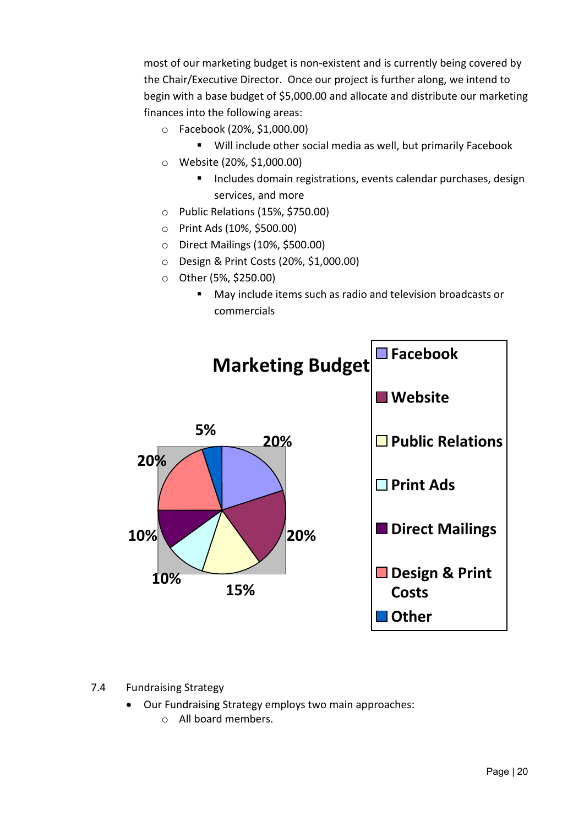most of our marketing budget is non-existent and is currently being covered by the Chair/Executive Director. Once our project is further along, we intend to begin with a base budget of \$5,000.00 and allocate and distribute our marketing finances into the following areas:

- o Facebook (20%, \$1,000.00)
	- Will include other social media as well, but primarily Facebook
- o Website (20%, \$1,000.00)
	- **Includes domain registrations, events calendar purchases, designent** services, and more
- o Public Relations (15%, \$750.00)
- o Print Ads (10%, \$500.00)
- o Direct Mailings (10%, \$500.00)
- o Design & Print Costs (20%, \$1,000.00)
- o Other (5%, \$250.00)
	- May include items such as radio and television broadcasts or commercials



#### 7.4 Fundraising Strategy

• Our Fundraising Strategy employs two main approaches: o All board members.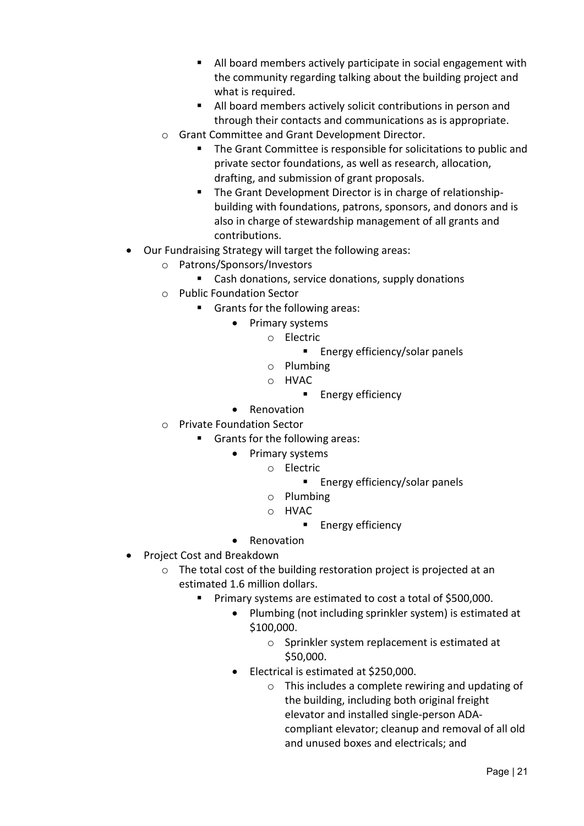- All board members actively participate in social engagement with the community regarding talking about the building project and what is required.
- All board members actively solicit contributions in person and through their contacts and communications as is appropriate.
- o Grant Committee and Grant Development Director.
	- The Grant Committee is responsible for solicitations to public and private sector foundations, as well as research, allocation, drafting, and submission of grant proposals.
	- **The Grant Development Director is in charge of relationship**building with foundations, patrons, sponsors, and donors and is also in charge of stewardship management of all grants and contributions.
- Our Fundraising Strategy will target the following areas:
	- o Patrons/Sponsors/Investors
		- Cash donations, service donations, supply donations
	- o Public Foundation Sector
		- Grants for the following areas:
			- Primary systems
				- o Electric
					- **Energy efficiency/solar panels**
					- o Plumbing
					- o HVAC
						- Energy efficiency
			- Renovation
	- o Private Foundation Sector
		- Grants for the following areas:
			- Primary systems
				- o Electric
					- **Energy efficiency/solar panels**
				- o Plumbing
				- o HVAC
					- **Energy efficiency**
			- Renovation
- Project Cost and Breakdown
	- o The total cost of the building restoration project is projected at an estimated 1.6 million dollars.
		- **Primary systems are estimated to cost a total of \$500,000.** 
			- Plumbing (not including sprinkler system) is estimated at \$100,000.
				- o Sprinkler system replacement is estimated at \$50,000.
			- Electrical is estimated at \$250,000.
				- o This includes a complete rewiring and updating of the building, including both original freight elevator and installed single-person ADAcompliant elevator; cleanup and removal of all old and unused boxes and electricals; and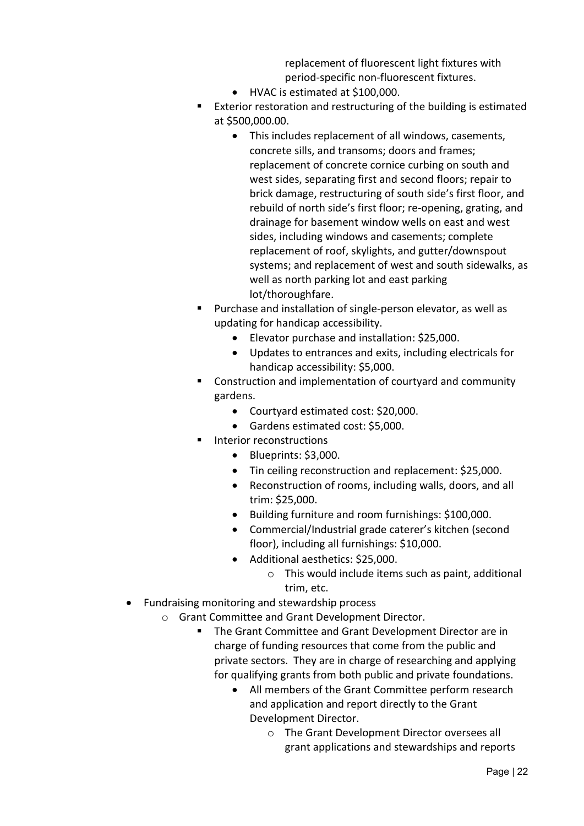replacement of fluorescent light fixtures with period-specific non-fluorescent fixtures.

- HVAC is estimated at \$100,000.
- Exterior restoration and restructuring of the building is estimated at \$500,000.00.
	- This includes replacement of all windows, casements, concrete sills, and transoms; doors and frames; replacement of concrete cornice curbing on south and west sides, separating first and second floors; repair to brick damage, restructuring of south side's first floor, and rebuild of north side's first floor; re-opening, grating, and drainage for basement window wells on east and west sides, including windows and casements; complete replacement of roof, skylights, and gutter/downspout systems; and replacement of west and south sidewalks, as well as north parking lot and east parking lot/thoroughfare.
- **Purchase and installation of single-person elevator, as well as** updating for handicap accessibility.
	- Elevator purchase and installation: \$25,000.
	- Updates to entrances and exits, including electricals for handicap accessibility: \$5,000.
- Construction and implementation of courtyard and community gardens.
	- Courtyard estimated cost: \$20,000.
	- Gardens estimated cost: \$5,000.
- **Interior reconstructions** 
	- Blueprints: \$3,000.
	- Tin ceiling reconstruction and replacement: \$25,000.
	- Reconstruction of rooms, including walls, doors, and all trim: \$25,000.
	- Building furniture and room furnishings: \$100,000.
	- Commercial/Industrial grade caterer's kitchen (second floor), including all furnishings: \$10,000.
	- Additional aesthetics: \$25,000.
		- o This would include items such as paint, additional trim, etc.
- Fundraising monitoring and stewardship process
	- o Grant Committee and Grant Development Director.
		- **The Grant Committee and Grant Development Director are in** charge of funding resources that come from the public and private sectors. They are in charge of researching and applying for qualifying grants from both public and private foundations.
			- All members of the Grant Committee perform research and application and report directly to the Grant Development Director.
				- o The Grant Development Director oversees all grant applications and stewardships and reports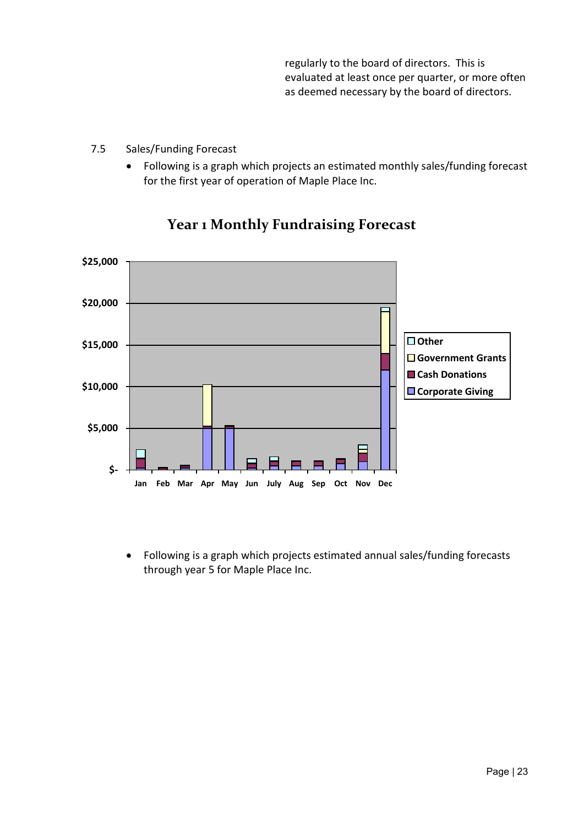regularly to the board of directors. This is evaluated at least once per quarter, or more often as deemed necessary by the board of directors.

- 7.5 Sales/Funding Forecast
	- Following is a graph which projects an estimated monthly sales/funding forecast for the first year of operation of Maple Place Inc.



## **Year 1 Monthly Fundraising Forecast**

• Following is a graph which projects estimated annual sales/funding forecasts through year 5 for Maple Place Inc.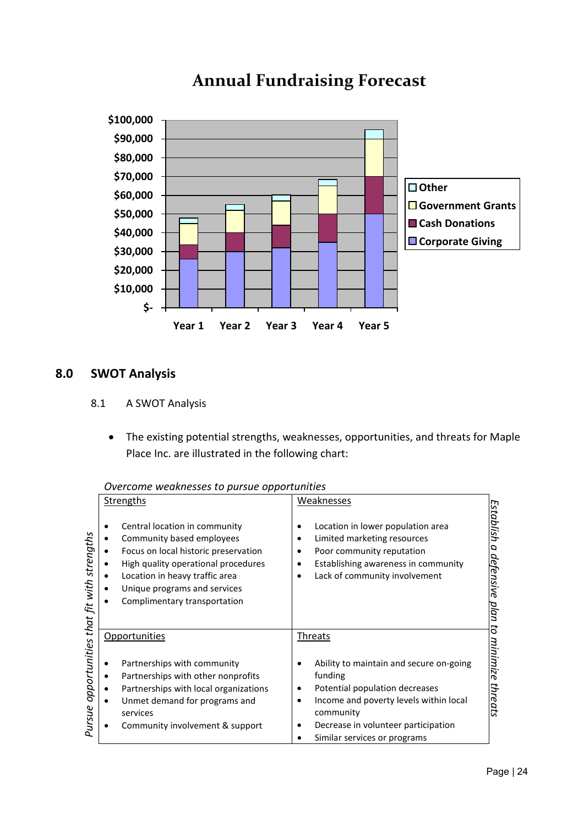

## **Annual Fundraising Forecast**

## <span id="page-23-0"></span>**8.0 SWOT Analysis**

- 8.1 A SWOT Analysis
	- The existing potential strengths, weaknesses, opportunities, and threats for Maple Place Inc. are illustrated in the following chart:

*Overcome weaknesses to pursue opportunities*

|                                       | Strengths                                                                                                                                                                                                                                   | Weaknesses                                                                                                                                                                                                              |                                                 |  |
|---------------------------------------|---------------------------------------------------------------------------------------------------------------------------------------------------------------------------------------------------------------------------------------------|-------------------------------------------------------------------------------------------------------------------------------------------------------------------------------------------------------------------------|-------------------------------------------------|--|
| opportunities that fit with strengths | Central location in community<br>Community based employees<br>Focus on local historic preservation<br>High quality operational procedures<br>Location in heavy traffic area<br>Unique programs and services<br>Complimentary transportation | Location in lower population area<br>Limited marketing resources<br>Poor community reputation<br>Establishing awareness in community<br>٠<br>Lack of community involvement                                              | Establish<br>a<br><u>defensive</u><br>plan<br>đ |  |
|                                       | Opportunities                                                                                                                                                                                                                               | <b>Threats</b>                                                                                                                                                                                                          |                                                 |  |
| Pursue                                | Partnerships with community<br>Partnerships with other nonprofits<br>Partnerships with local organizations<br>Unmet demand for programs and<br>services<br>Community involvement & support                                                  | Ability to maintain and secure on-going<br>funding<br>Potential population decreases<br>Income and poverty levels within local<br>community<br>Decrease in volunteer participation<br>٠<br>Similar services or programs | minimize<br>threats                             |  |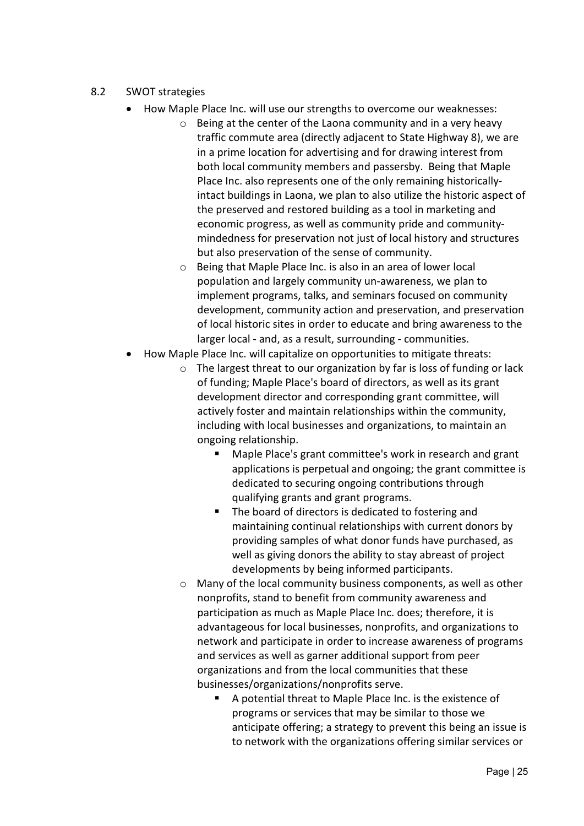#### 8.2 SWOT strategies

- How Maple Place Inc. will use our strengths to overcome our weaknesses:
	- o Being at the center of the Laona community and in a very heavy traffic commute area (directly adjacent to State Highway 8), we are in a prime location for advertising and for drawing interest from both local community members and passersby. Being that Maple Place Inc. also represents one of the only remaining historicallyintact buildings in Laona, we plan to also utilize the historic aspect of the preserved and restored building as a tool in marketing and economic progress, as well as community pride and communitymindedness for preservation not just of local history and structures but also preservation of the sense of community.
	- o Being that Maple Place Inc. is also in an area of lower local population and largely community un-awareness, we plan to implement programs, talks, and seminars focused on community development, community action and preservation, and preservation of local historic sites in order to educate and bring awareness to the larger local - and, as a result, surrounding - communities.
- How Maple Place Inc. will capitalize on opportunities to mitigate threats:
	- $\circ$  The largest threat to our organization by far is loss of funding or lack of funding; Maple Place's board of directors, as well as its grant development director and corresponding grant committee, will actively foster and maintain relationships within the community, including with local businesses and organizations, to maintain an ongoing relationship.
		- Maple Place's grant committee's work in research and grant applications is perpetual and ongoing; the grant committee is dedicated to securing ongoing contributions through qualifying grants and grant programs.
		- The board of directors is dedicated to fostering and maintaining continual relationships with current donors by providing samples of what donor funds have purchased, as well as giving donors the ability to stay abreast of project developments by being informed participants.
	- o Many of the local community business components, as well as other nonprofits, stand to benefit from community awareness and participation as much as Maple Place Inc. does; therefore, it is advantageous for local businesses, nonprofits, and organizations to network and participate in order to increase awareness of programs and services as well as garner additional support from peer organizations and from the local communities that these businesses/organizations/nonprofits serve.
		- A potential threat to Maple Place Inc. is the existence of programs or services that may be similar to those we anticipate offering; a strategy to prevent this being an issue is to network with the organizations offering similar services or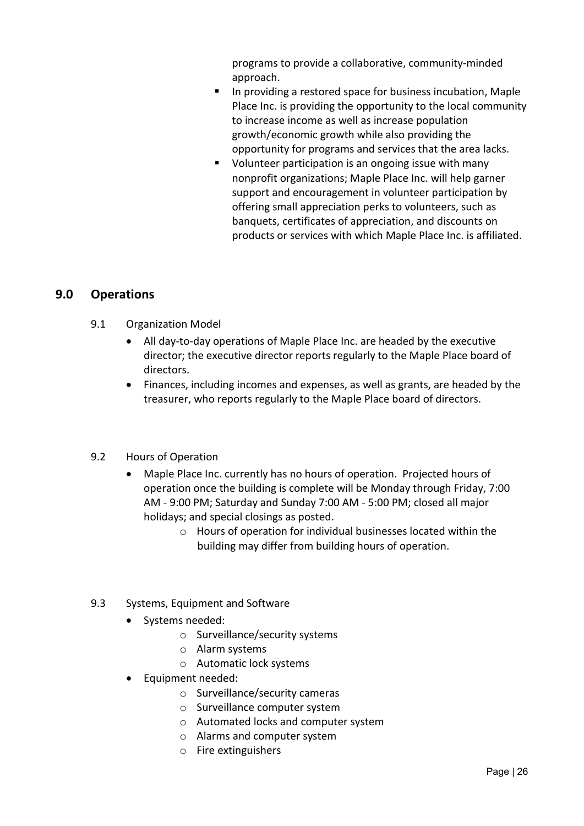programs to provide a collaborative, community-minded approach.

- In providing a restored space for business incubation, Maple Place Inc. is providing the opportunity to the local community to increase income as well as increase population growth/economic growth while also providing the opportunity for programs and services that the area lacks.
- Volunteer participation is an ongoing issue with many nonprofit organizations; Maple Place Inc. will help garner support and encouragement in volunteer participation by offering small appreciation perks to volunteers, such as banquets, certificates of appreciation, and discounts on products or services with which Maple Place Inc. is affiliated.

#### <span id="page-25-0"></span>**9.0 Operations**

- 9.1 Organization Model
	- All day-to-day operations of Maple Place Inc. are headed by the executive director; the executive director reports regularly to the Maple Place board of directors.
	- Finances, including incomes and expenses, as well as grants, are headed by the treasurer, who reports regularly to the Maple Place board of directors.

#### 9.2 Hours of Operation

- Maple Place Inc. currently has no hours of operation. Projected hours of operation once the building is complete will be Monday through Friday, 7:00 AM - 9:00 PM; Saturday and Sunday 7:00 AM - 5:00 PM; closed all major holidays; and special closings as posted.
	- o Hours of operation for individual businesses located within the building may differ from building hours of operation.
- 9.3 Systems, Equipment and Software
	- Systems needed:
		- o Surveillance/security systems
		- o Alarm systems
		- o Automatic lock systems
	- Equipment needed:
		- o Surveillance/security cameras
		- o Surveillance computer system
		- o Automated locks and computer system
		- o Alarms and computer system
		- o Fire extinguishers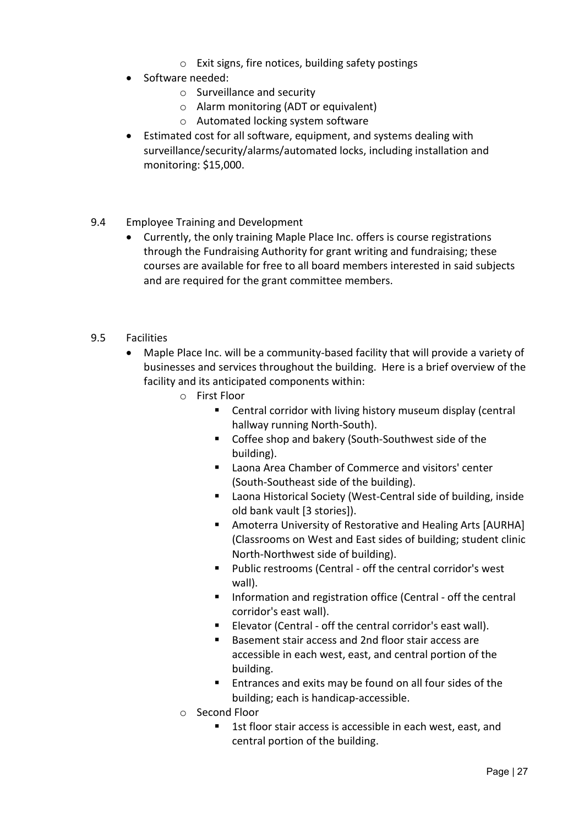- o Exit signs, fire notices, building safety postings
- Software needed:
	- o Surveillance and security
	- o Alarm monitoring (ADT or equivalent)
	- o Automated locking system software
- Estimated cost for all software, equipment, and systems dealing with surveillance/security/alarms/automated locks, including installation and monitoring: \$15,000.
- 9.4 Employee Training and Development
	- Currently, the only training Maple Place Inc. offers is course registrations through the Fundraising Authority for grant writing and fundraising; these courses are available for free to all board members interested in said subjects and are required for the grant committee members.
- 9.5 Facilities
	- Maple Place Inc. will be a community-based facility that will provide a variety of businesses and services throughout the building. Here is a brief overview of the facility and its anticipated components within:
		- o First Floor
			- Central corridor with living history museum display (central hallway running North-South).
			- Coffee shop and bakery (South-Southwest side of the building).
			- Laona Area Chamber of Commerce and visitors' center (South-Southeast side of the building).
			- Laona Historical Society (West-Central side of building, inside old bank vault [3 stories]).
			- Amoterra University of Restorative and Healing Arts [AURHA] (Classrooms on West and East sides of building; student clinic North-Northwest side of building).
			- Public restrooms (Central off the central corridor's west wall).
			- **Information and registration office (Central off the central** corridor's east wall).
			- **Elevator (Central off the central corridor's east wall).**
			- Basement stair access and 2nd floor stair access are accessible in each west, east, and central portion of the building.
			- **Entrances and exits may be found on all four sides of the** building; each is handicap-accessible.
		- o Second Floor
			- 1st floor stair access is accessible in each west, east, and central portion of the building.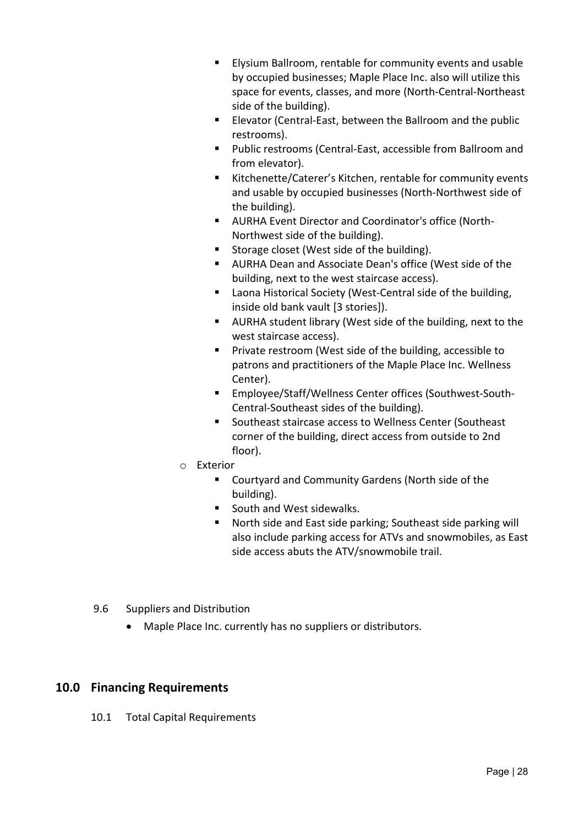- Elysium Ballroom, rentable for community events and usable by occupied businesses; Maple Place Inc. also will utilize this space for events, classes, and more (North-Central-Northeast side of the building).
- **Elevator (Central-East, between the Ballroom and the public** restrooms).
- Public restrooms (Central-East, accessible from Ballroom and from elevator).
- Kitchenette/Caterer's Kitchen, rentable for community events and usable by occupied businesses (North-Northwest side of the building).
- AURHA Event Director and Coordinator's office (North-Northwest side of the building).
- Storage closet (West side of the building).
- AURHA Dean and Associate Dean's office (West side of the building, next to the west staircase access).
- Laona Historical Society (West-Central side of the building, inside old bank vault [3 stories]).
- AURHA student library (West side of the building, next to the west staircase access).
- **Private restroom (West side of the building, accessible to** patrons and practitioners of the Maple Place Inc. Wellness Center).
- Employee/Staff/Wellness Center offices (Southwest-South-Central-Southeast sides of the building).
- Southeast staircase access to Wellness Center (Southeast corner of the building, direct access from outside to 2nd floor).
- o Exterior
	- Courtyard and Community Gardens (North side of the building).
	- South and West sidewalks.
	- North side and East side parking; Southeast side parking will also include parking access for ATVs and snowmobiles, as East side access abuts the ATV/snowmobile trail.
- 9.6 Suppliers and Distribution
	- Maple Place Inc. currently has no suppliers or distributors.

#### <span id="page-27-0"></span>**10.0 Financing Requirements**

10.1 Total Capital Requirements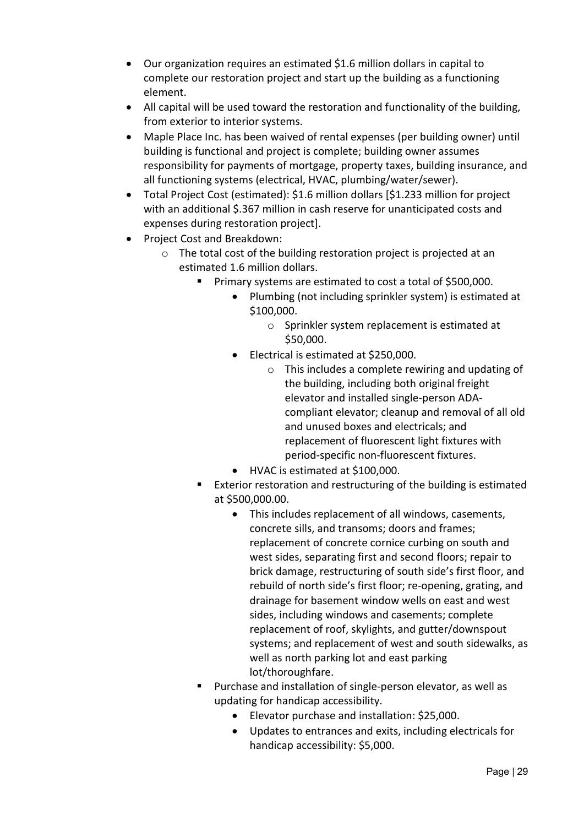- Our organization requires an estimated \$1.6 million dollars in capital to complete our restoration project and start up the building as a functioning element.
- All capital will be used toward the restoration and functionality of the building, from exterior to interior systems.
- Maple Place Inc. has been waived of rental expenses (per building owner) until building is functional and project is complete; building owner assumes responsibility for payments of mortgage, property taxes, building insurance, and all functioning systems (electrical, HVAC, plumbing/water/sewer).
- Total Project Cost (estimated): \$1.6 million dollars [\$1.233 million for project with an additional \$.367 million in cash reserve for unanticipated costs and expenses during restoration project].
- Project Cost and Breakdown:
	- o The total cost of the building restoration project is projected at an estimated 1.6 million dollars.
		- **Primary systems are estimated to cost a total of \$500,000.** 
			- Plumbing (not including sprinkler system) is estimated at \$100,000.
				- o Sprinkler system replacement is estimated at \$50,000.
			- Electrical is estimated at \$250,000.
				- o This includes a complete rewiring and updating of the building, including both original freight elevator and installed single-person ADAcompliant elevator; cleanup and removal of all old and unused boxes and electricals; and replacement of fluorescent light fixtures with period-specific non-fluorescent fixtures.
			- HVAC is estimated at \$100,000.
		- **Exterior restoration and restructuring of the building is estimated** at \$500,000.00.
			- This includes replacement of all windows, casements, concrete sills, and transoms; doors and frames; replacement of concrete cornice curbing on south and west sides, separating first and second floors; repair to brick damage, restructuring of south side's first floor, and rebuild of north side's first floor; re-opening, grating, and drainage for basement window wells on east and west sides, including windows and casements; complete replacement of roof, skylights, and gutter/downspout systems; and replacement of west and south sidewalks, as well as north parking lot and east parking lot/thoroughfare.
		- Purchase and installation of single-person elevator, as well as updating for handicap accessibility.
			- Elevator purchase and installation: \$25,000.
			- Updates to entrances and exits, including electricals for handicap accessibility: \$5,000.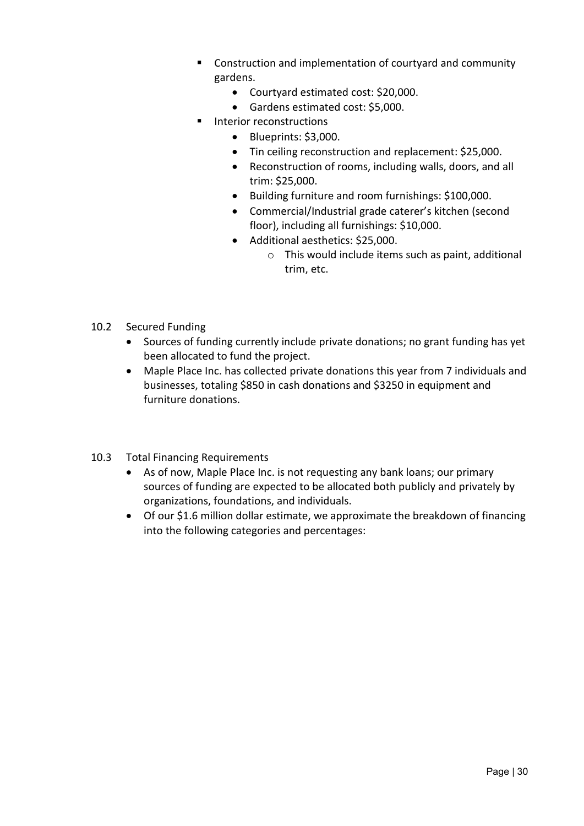- Construction and implementation of courtyard and community gardens.
	- Courtyard estimated cost: \$20,000.
	- Gardens estimated cost: \$5,000.
- **Interior reconstructions** 
	- Blueprints: \$3,000.
	- Tin ceiling reconstruction and replacement: \$25,000.
	- Reconstruction of rooms, including walls, doors, and all trim: \$25,000.
	- Building furniture and room furnishings: \$100,000.
	- Commercial/Industrial grade caterer's kitchen (second floor), including all furnishings: \$10,000.
	- Additional aesthetics: \$25,000.
		- o This would include items such as paint, additional trim, etc.
- 10.2 Secured Funding
	- Sources of funding currently include private donations; no grant funding has yet been allocated to fund the project.
	- Maple Place Inc. has collected private donations this year from 7 individuals and businesses, totaling \$850 in cash donations and \$3250 in equipment and furniture donations.
- 10.3 Total Financing Requirements
	- As of now, Maple Place Inc. is not requesting any bank loans; our primary sources of funding are expected to be allocated both publicly and privately by organizations, foundations, and individuals.
	- Of our \$1.6 million dollar estimate, we approximate the breakdown of financing into the following categories and percentages: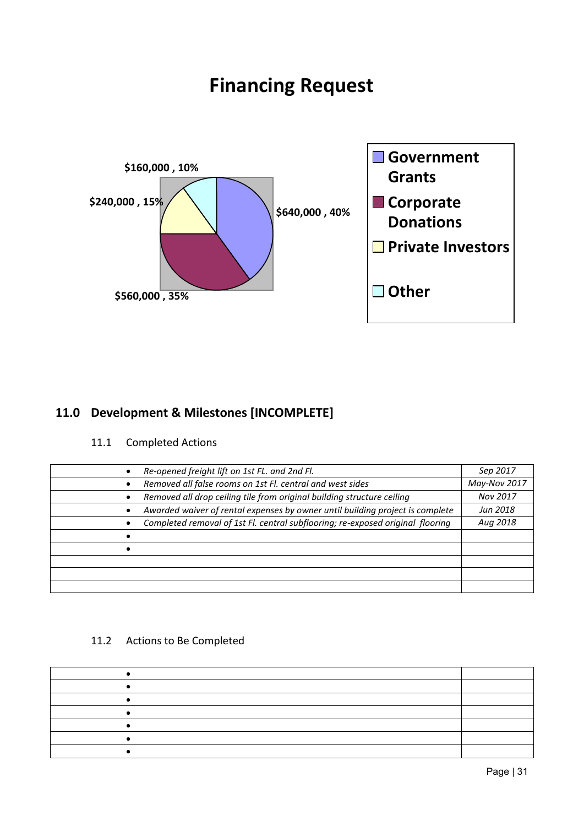## **Financing Request**



## <span id="page-30-0"></span>**11.0 Development & Milestones [INCOMPLETE]**

#### 11.1 Completed Actions

| Re-opened freight lift on 1st FL. and 2nd Fl.                                  | Sep 2017     |
|--------------------------------------------------------------------------------|--------------|
| Removed all false rooms on 1st Fl. central and west sides                      | May-Nov 2017 |
| Removed all drop ceiling tile from original building structure ceiling         | Nov 2017     |
| Awarded waiver of rental expenses by owner until building project is complete  | Jun 2018     |
| Completed removal of 1st Fl. central subflooring; re-exposed original flooring | Aug 2018     |
|                                                                                |              |
|                                                                                |              |
|                                                                                |              |
|                                                                                |              |
|                                                                                |              |

#### 11.2 Actions to Be Completed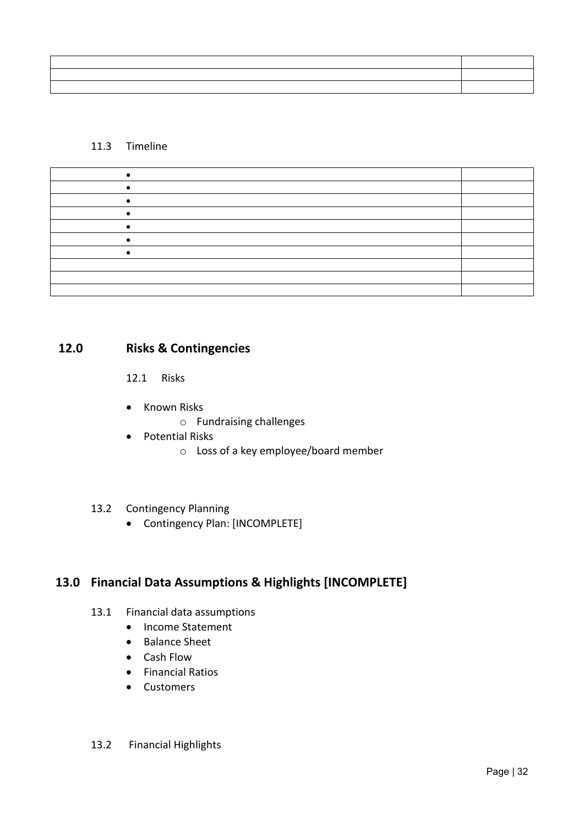| ,我们也不会有什么?""我们的话,我们也不会有什么?""我们的话,我们也不会有什么?""我们的话,我们也不会有什么?""我们的话,我们也不会有什么?""我们的话                                        |  |
|-------------------------------------------------------------------------------------------------------------------------|--|
| <u> Andreas Andreas Andreas Andreas Andreas Andreas Andreas Andreas Andreas Andreas Andreas Andreas Andreas Andreas</u> |  |
|                                                                                                                         |  |

#### 11.3 Timeline

### **12.0 Risks & Contingencies**

<span id="page-31-0"></span>12.1 Risks

- Known Risks
	- o Fundraising challenges
- Potential Risks
	- o Loss of a key employee/board member

#### 13.2 Contingency Planning

• Contingency Plan: [INCOMPLETE]

## <span id="page-31-1"></span>**13.0 Financial Data Assumptions & Highlights [INCOMPLETE]**

- 13.1 Financial data assumptions
	- Income Statement
	- Balance Sheet
	- Cash Flow
	- Financial Ratios
	- Customers

#### 13.2 Financial Highlights